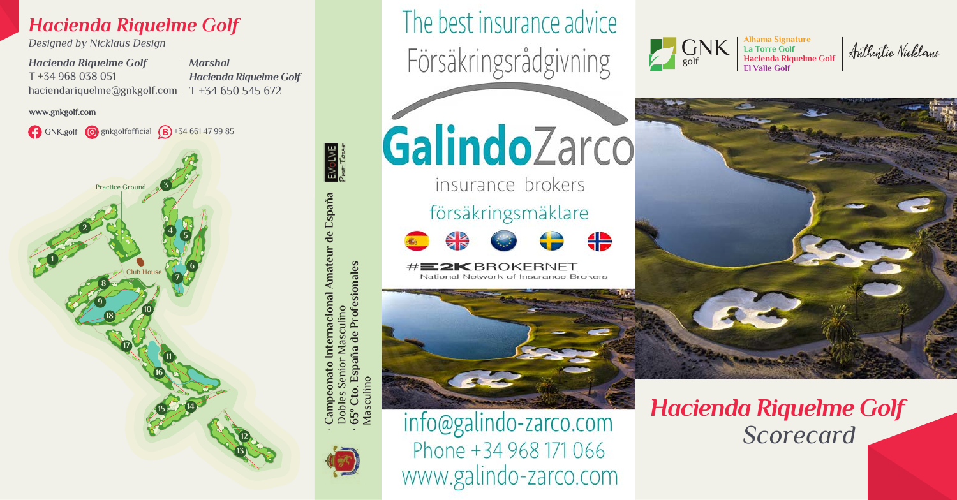## *Hacienda Riquelme Golf*

*Designed by Nicklaus Design*

*Hacienda Riquelme Golf* T +34 968 038 051 haciendariquelme@gnkgolf.com *Marshal Hacienda Riquelme Golf* T +34 650 545 672

www.gnkgolf.com







Pro Town Campeonato Internacional Amateur de España **· Campeonato Internacional Amateur de España** Dobles Senior Masculino Masculino Senior Dobles

65º Cto. España de Profesionales<br>Vlasculino **· 65º Cto. España de Profesionales**

Masculino



GalindoZarco

The best insurance advice

insurance brokers försäkringsmäklare



#E2KBROKERNET National Network of Insurance Brokers



info@galindo-zarco.com Phone +34 968 171 066 www.galindo-zarco.com GNK golf

**La Torre Golf Hacienda Riquelme Golf El Valle Golf**



*Hacienda Riquelme Golf Scorecard*